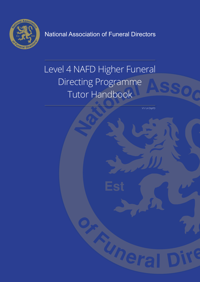

National Association of Funeral Directors

# Level 4 NAFD Higher Funeral Directing Programme Tutor Handbook

V1/ L4 DipFD

Uner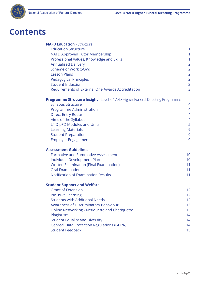

## **Contents**

| <b>NAFD Education - Structure</b>                                                    |                |
|--------------------------------------------------------------------------------------|----------------|
| <b>Education Structure</b>                                                           | 1              |
| <b>NAFD Approved Tutor Membership</b>                                                | 1              |
| Professional Values, Knowledge and Skills                                            | 1              |
| <b>Annualised Delivery</b>                                                           | $\overline{2}$ |
| Scheme of Work (SOW)                                                                 | $\overline{2}$ |
| <b>Lesson Plans</b>                                                                  | $\overline{2}$ |
| <b>Pedagogical Principles</b>                                                        | $\overline{2}$ |
| <b>Student Induction</b>                                                             | 3              |
| Requirements of External One Awards Accreditation                                    | 3              |
| <b>Programme Structure Insight</b> - Level 4 NAFD Higher Funeral Directing Programme |                |
| <b>Syllabus Structure</b>                                                            | 4              |
| <b>Programme Administration</b>                                                      | $\overline{4}$ |
| <b>Direct Entry Route</b>                                                            | 4              |
| Aims of the Syllabus                                                                 | 4              |
| L4 DipFD Modules and Units                                                           | 5              |
| <b>Learning Materials</b>                                                            | 9              |
| <b>Student Preparation</b>                                                           | 9              |
| <b>Employer Engagement</b>                                                           | 9              |
| <b>Assessment Guidelines</b>                                                         |                |
| <b>Formative and Summative Assessment</b>                                            | 10             |
| Individual Development Plan                                                          | 10             |
| <b>Written Examination (Final Examination)</b>                                       | 11             |
| <b>Oral Examination</b>                                                              | 11             |
| <b>Notification of Examination Results</b>                                           | 11             |
| <b>Student Support and Welfare</b>                                                   |                |
| <b>Grant of Extension</b>                                                            | 12             |
| <b>Inclusive Learning</b>                                                            | 12             |
| <b>Students with Additional Needs</b>                                                | 12             |
| Awareness of Discriminatory Behaviour                                                | 13             |
| <b>Online Networking - Netiquette and Chatiquette</b>                                | 13             |
| Plagiarism                                                                           | 14             |
| <b>Student Equality and Diversity</b>                                                | 14             |
| <b>Genreal Data Protection Regulations (GDPR)</b>                                    | 14             |
| <b>Student Feedback</b>                                                              | 15             |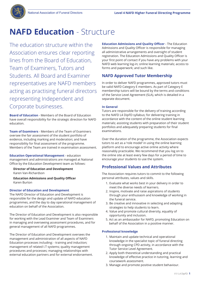

## **NAFD Education** - Structure

The education structure within the Association ensures clear reporting lines from the Board of Education, Team of Examiners, Tutors and Students. All Board and Examiner representatives are NAFD members acting as practising funeral directors representing Independent and Corporate businesses.

**Board of Education** - Members of the Board of Education have overall responsibility for the strategic direction for NAFD education.

**Team of Examiners** - Members of the Team of Examiners oversee the fair assessment of the student portfolio of evidence, including marking and moderation; and have responsibility for final assessment of the programme. Members of the Team are trained in examination assessment.

**Education Operational Management** - education management and administrations are managed at National Office by the Education Development team as follows:

**Director of Education and Development** Karen Van-Richardson

 **Education Admissions and Quality Officer** Karen Burton

### **Director of Education and Development**

The NAFD Director of Education and Development is responsible for the design and update of NAFD education programmes, and the day to day operational management of education on behalf of the Association.

The Director of Education and Development is also responsible for working with the Lead Examiner and Team of Examiners in managing and overseeing assessment procedures, and for general management of all NAFD programmes.

The Director of Education and Development oversees the management and administration of all aspects of NAFD Education processes including: - training and induction; management of related I.T systems; quality management procedures and processes; managing relationships with external education partners and for external endorsement. **Education Admissions and Quality Officer** - The Education Admissions and Quality Officer is responsible for managing all administrative arrangements and oversight of student registration. The Education Admissions and Quality Officer is your first point of contact if you have any problems with your NAFD web learning log-in; online learning materials; access to forms and paperwork; and such like.

## **NAFD Approved Tutor Membership**

In order to deliver NAFD programmes, approved tutors must be valid NAFD Category E members. As part of Category E membership tutors will be bound by the terms and conditions of the Service Level Agreement (SLA), which is detailed in a separate document.

#### **In General**

Tutors are responsible for the delivery of training according to the NAFD L4 DipFD syllabus; for delivering training in accordance with the content of the online student learning materials; assisting students with preparation of their student portfolios and adequately preparing students for final examinations.

Over the duration of the programme, the Association expects tutors to act as a 'role model' in using the online learning platform and to encourage active online activity where reasonably practicable. We recommend that you log on to the online site at least every few days for a period of time to encourage your students to use the system.

## **Professional Values and Attributes**

The Association requires tutors to commit to the following personal attributes, values and skills.

- 1. Evaluate what works best in your delivery in order to meet the diverse needs of learners.
- 2. Inspire, motivate and raise aspirations of students through your enthusiasm and knowledge of working in the funeral service.
- 3. Be creative and innovative in selecting and adapting strategies to help students to learn.
- 4. Value and promote cultural diversity, equality of opportunity and inclusion.
- 5. Act as an ambassador for NAFD, promoting Education on behalf of the Association in a positive manner.

### **Professional knowledge**

- 1. Maintain and update technical and operational knowledge in the specialist topic of funeral directing through ongoing CPD activity, in accordance with the Tutor Service Level Agreement.
- 2. Apply both theoretical understanding and practical knowledge of effective practice in tutoring, learning and coursework assessment.
- 3. Manage and promote positive student behaviour.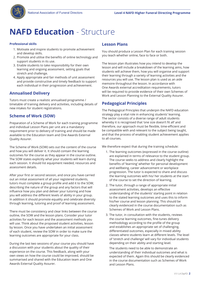

## **NAFD Education** - Structure

#### **Professional skills**

- 1. Motivate and inspire students to promote achievement and develop skills.
- 2. Promote and utilise the benefits of online technology and support students in its use.
- 3. Enable students to take responsibility for their own learning and ongoing assessment, setting goals that stretch and challenge.
- 4. Apply appropriate and fair methods of unit assessment and provide constructive and timely feedback to support each individual in their progression and achievement.

## **Annualised Delivery**

Tutors must create a realistic annualised programme / timetable of training delivery and activities, including details of new intakes for student registrations.

## **Scheme of Work (SOW)**

Preparation of a Scheme of Work for each training programme and individual Lesson Plans per unit are a mandatory requirement prior to delivery of training and should be made available to the Education team and One Awards External Quality Assurer.

The Scheme of Work (SOW) sets out the content of the course and how you will deliver it. It should contain the learning outcomes for the course as they appear in the course outline. The SOW states explicitly what your students will learn during each session. It should list equipment needed, resources and assessment details.

After your first or second session, and once you have carried out an initial assessment of all your registered students, tutors must complete a group profile and add it to the SOW, describing the nature of the group and any factors that will influence how you plan and deliver your tutoring and how you will address the different levels of ability in your group. In addition it should promote equality and celebrate diversity through learning, tutoring and proof of learning assessment.

There must be consistency and clear links between the course outline, the SOW and the lesson plans. Consider your tutor activities for each lesson and the assessment methods you will use. Think about the proposed student activities, lesson by lesson. Once you have undertaken an initial assessment of each student, review the SOW in order to make sure the learning outcomes are appropriate for your class.

During the last two sessions of your course you should have a discussion with your students about the quality of their experience on the course. This feedback, along with your own views on how the course could be improved, should be summarised and shared with the Education team and One Awards External Quality Assurer.

## **Lesson Plans**

You should produce a Lesson Plan for each training session you teach whether online, face to face or both.

The lesson plan illustrates how you intend to develop the lesson and will include a breakdown of the learning aims, how students will achieve them, how you will organise and support their learning through a variety of learning activities and the resources you will use. The lesson plan is used as an aide memoire throughout the lesson. In accordance with One Awards external accreditation requirements, tutors will be required to provide evidence of their own Schemes of Work and Lesson Planning to the External Quality Assurer.

## **Pedagogical Principles**

The Pedagogical Principles that underpin the NAFD education strategy play a vital role in enhancing students' learning. The sector consists of a diverse range of adult students whereby it is recognised that 'one size doesn't fit all' and therefore, our approach must be flexible, time-efficient and be compatible with and relevant to the subject being taught, and that the process of enabling student achievement applies to all courses.

We therefore expect that during the training schedule:

- 1. The learning outcomes (expressed in the course outline) are explained in terms of relevance to the student group. The course seeks to address and clearly highlight the benefits of 'learning' whether for personal development and wellbeing, career advancement or workplace progression. The tutor is expected to share and discuss the learning outcomes with his/ her students at the start of the course to set the direction of learning.
- 2. The tutor, through a range of appropriate initial assessment activities, develops an effective understanding of the students' starting point in relation to the stated learning outcomes and uses this to inform his/her course and lesson planning. This should be clearly evidenced in the course documentation such as Schemes of Work and Lesson Plans.
- 3. The tutor, in consultation with the students, reviews the course learning outcomes, fine-tunes delivery methodology according to the profile of the group and establishes an appropriate set of challenging, differentiated outcomes, especially in mixed ability classes where students learn at different levels. The level of 'stretch and challenge' will vary for individual students depending on their ability and starting level.

 The students need to be able to demonstrate an understanding of their individual outcomes and what is expected of them. Again this should be clearly evidenced in the course documentation such as Schemes of Work and Lesson Plans.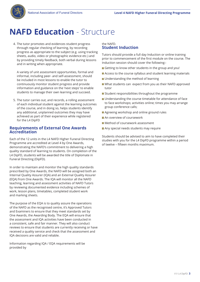

## **NAFD Education** - Structure

4. The tutor promotes and evidences student progress through regular checking of learning, by recording progress as appropriate to the subject (e.g. using tracking sheets, audio, video or photographic evidence etc.) and by providing timely feedback, both verbal during lessons and in writing when appropriate.

 A variety of unit assessment opportunities, formal and informal, including peer- and self-assessment, should be included in most lessons to enable the tutor to continuously monitor student progress and provide information and guidance on the 'next steps' to enable students to manage their own learning and succeed.

5. The tutor carries out, and records, a rolling assessment of each individual student against the learning outcomes of the course, and in doing so, helps students identify any additional, unplanned outcomes they may have achieved as part of their experience while registered for the L4 DipFD

#### **Requirements of External One Awards Accreditation**

Each of the 12 units in the L4 NAFD Higher Funeral Directing Programme are accredited at Level 4 by One Awards, demonstrating the NAFD's commitment to delivering a high quality standard of learning to students. On completion of the L4 DipFD, students will be awarded the title of Diplomate in Funeral Directing (DipFD).

In order to maintain and monitor the high quality standards prescribed by One Awards, the NAFD will be assigned both an Internal Quality Assurer (IQA) and an External Quality Assurer (EQA) from One Awards. The IQA will monitor all the NAFD teaching, learning and assessment activities of NAFD Tutors by reviewing documented evidence including schemes of work, lesson plans, timetables, completed student work and marking sheets.

The purpose of the EQA is to quality assure the operations of the NAFD as the recognised centre, it's Approved Tutors and Examiners to ensure that they meet standards set by One Awards, the Awarding Body. The EQA will ensure that the assessment and IQA activities have been conducted in a consistent, safe and fair manner. They will also conduct reviews to ensure that students are currently receiving or have received a quality service and check that the assessment and IQA decisions are valid and reliable.

Information regarding IQA / EQA requirements will be provided by

#### the NAFD. **Student Induction**

Tutors should provide a full day Induction or online training prior to commencement of the first module on the course. The Induction session should cover the following:-

- Getting to know other students in the group and you!
- Access to the course syllabus and student learning materials
- **Understanding the method of learning**
- What students can expect from you as their NAFD approved tutor
- **Student responsibilities throughout the programme**
- **Understanding the course timetable for attendance of face** to face workshops; activities online; times you may arrange group conference calls;
- **Agreeing workshop and online ground rules**
- **An overview of coursework**
- Method of coursework assessment
- Any special needs students may require

Students should be advised to aim to have completed their studies with you for the L4 DipFD programme within a period of twelve – fifteen months maximum.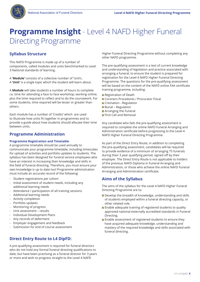

## **Syllabus Structure**

This NAFD Programme is made up of a number of components, called modules and units benchmarked to Level 3 National standards of learning.

A **'Module'** consists of a collective number of 'Unit's. A **'Unit'** is a single topic which the student will learn about.

A **Module** will take students a number of hours to complete i.e. time for attending a face to face workshop; working online; plus the time required to reflect and to do the coursework. For some students, time required will be lesser or greater than others.

Each module has a number of 'Credits' which are used to illustrate how units fit together in programmes and to provide a guide about how students should allocate their time between units.

#### **Programme Administration**

#### **Programme Registration and Timetable**

A programme timetable should be used annually to communicate your programme timetable, including timescales for upload of activities and portfolio updates to students. The syllabus has been designed for funeral service employees who have an interest in increasing their knowledge and skills in the field of funeral directing. Therefore, you must ensure your own knowledge is up to date too! Programme adminstration must include an accurate record of the following:

- Student registrations per cohort
- Initial assessment of student needs, including any additional learning needs
- Attendance / participation of all training sessions
- Additional learning needs
- Activity completion
- Portfolio updates
- Monitoring of progress
- Unit assessment results
- Individual Development Plans
- Any records of deferment
- Employer engagement and feedback
- Submission for end of course assessment

## **Direct Entry Route to L4 DipFD:**

A pre-qualifying assessment is required for funeral directors who do not hold any formal funeral directing qualifications to date, but have been practising as a funeral director for 3 years or more and wish to progress straight to the Level 4 NAFD

Higher Funeral Directing Programme without completing any other NAFD programme.

The pre-qualifying assessment is a test of current knowledge and understanding of legislation and practice associated with arranging a funeral, to ensure the student is prepared for registration for the Level 4 NAFD Higher Funeral Directing Programme. The questions for the pre-qualifying assessment will be based on the content of the NAFD online FAA certificate training programme, including:

- Registration of Death
- **Coroners Procedures / Procurator Fiscal**
- Cremation Regulation
- **Burial Regulation**
- **Arranging the Funeral**
- **First Call and Removal**

Any candidate who fails the pre-qualifying assessment is required to complete the online NAFD Funeral Arranging and Administration certificate before progressing to the Level 4 NAFD Higher Funeral Directing Programme.

As part of the Direct Entry Route, in addition to completing the pre-qualifying assessment, candidates will be required to provide evidence of a minimum of arranging 75 funerals during their 3 year qualifying period, signed off by their employer. The Direct Entry Route is not applicable to holders of the previous NAFD Diploma in Funeral Arranging and Administration, or those who achieve the online NAFD Funeral Arranging and Administration certificate.

### **Aims of the Syllabus**

The aims of the syllabus for the Level 4 NAFD Higher Funeral Directing Programme are to:

- Develop the breadth of knowledge, understanding and skills of students employed within a funeral directing capacity, or other related role.
- **Enable adequate training of registered students to quality** approved national externally accredited standards in Funeral Directing.
- **Enable assessment of registered students to ensure they** have acquired adequate knowledge, understanding and mastery of the required knowledge and skills associated with funeral directing.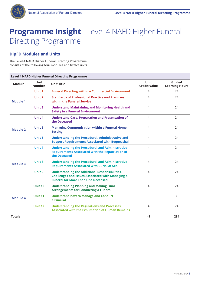

### **DipFD Modules and Units**

The Level 4 NAFD Higher Funeral Directing Programme consists of the following four modules and twelve units.

| <b>Level 4 NAFD Higher Funeral Directing Programme</b> |                              |                                                                                                                                                               |                                    |                                 |
|--------------------------------------------------------|------------------------------|---------------------------------------------------------------------------------------------------------------------------------------------------------------|------------------------------------|---------------------------------|
| <b>Module</b>                                          | <b>Unit</b><br><b>Number</b> | <b>Unit Title</b>                                                                                                                                             | <b>Unit</b><br><b>Credit Value</b> | Guided<br><b>Learning Hours</b> |
| <b>Module 1</b>                                        | Unit 1                       | <b>Funeral Directing within a Commercial Environment</b>                                                                                                      | $\overline{4}$                     | 24                              |
|                                                        | Unit 2                       | <b>Standards of Professional Practice and Premises</b><br>within the Funeral Service                                                                          | 4                                  | 24                              |
|                                                        | <b>Unit 3</b>                | <b>Understand Maintaining and Monitoring Health and</b><br><b>Safety in a Funeral Environment</b>                                                             | $\overline{4}$                     | 24                              |
|                                                        | <b>Unit 4</b>                | <b>Understand Care, Preparation and Presentation of</b><br>the Deceased                                                                                       | $\overline{4}$                     | 24                              |
| <b>Module 2</b>                                        | <b>Unit 5</b>                | <b>Managing Communication within a Funeral Home</b><br><b>Setting</b>                                                                                         | 4                                  | 24                              |
|                                                        | Unit 6                       | <b>Understanding the Procedural, Administrative and</b><br><b>Support Requirements Associated with Bequeathal</b>                                             | $\overline{4}$                     | 24                              |
| <b>Module 3</b>                                        | Unit 7                       | <b>Understanding the Procedural and Administrative</b><br><b>Requirements Associated with the Repatriation of</b><br>the Deceased                             | $\overline{4}$                     | 24                              |
|                                                        | <b>Unit 8</b>                | <b>Understanding the Procedural and Administrative</b><br><b>Requirements Associated with Burial at Sea</b>                                                   | $\overline{4}$                     | 24                              |
|                                                        | Unit 9                       | <b>Understanding the Additional Responsibilities,</b><br><b>Challenges and Issues Associated with Managing a</b><br><b>Funeral for More Than One Deceased</b> | 4                                  | 24                              |
| <b>Module 4</b>                                        | <b>Unit 10</b>               | <b>Understanding Planning and Making Final</b><br><b>Arrangements for Conducting a Funeral</b>                                                                | $\overline{4}$                     | 24                              |
|                                                        | <b>Unit 11</b>               | <b>Understand how to Manage and Conduct</b><br>a Funeral                                                                                                      | 5                                  | 30                              |
|                                                        | <b>Unit 12</b>               | <b>Understanding the Regulations and Processes</b><br><b>Associated with the Exhumation of Human Remains</b>                                                  | $\overline{4}$                     | 24                              |
| <b>Totals</b>                                          |                              |                                                                                                                                                               | 49                                 | 294                             |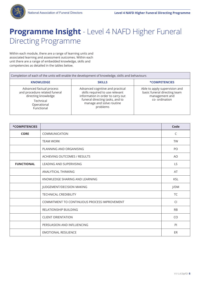

Within each module, there are a range of learning units and associated learning and assessment outcomes. Within each unit there are a range of embedded knowledge, skills and competencies as detailed in the tables below.

| Completion of each of the units will enable the development of knowledge, skills and behaviours                            |                                                                                                                                                                                     |                                                                                                   |  |
|----------------------------------------------------------------------------------------------------------------------------|-------------------------------------------------------------------------------------------------------------------------------------------------------------------------------------|---------------------------------------------------------------------------------------------------|--|
| <b>KNOWLEDGE</b>                                                                                                           | <b>SKILLS</b>                                                                                                                                                                       | <b>*COMPETENCIES</b>                                                                              |  |
| Advanced factual process<br>and procedure related funeral<br>directing knowledge<br>Technical<br>Operational<br>Functional | Advanced cognitive and practical<br>skills required to use relevant<br>information in order to carry out<br>funeral directing tasks, and to<br>manage and solve routine<br>problems | Able to apply supervision and<br>basic funeral directing team<br>management and<br>co- ordination |  |

| *COMPETENCIES     |                                              | Code      |
|-------------------|----------------------------------------------|-----------|
| <b>CORE</b>       | COMMUNICATION                                | C         |
|                   | <b>TEAM WORK</b>                             | <b>TW</b> |
|                   | PLANNING AND ORGANISING                      | PO        |
|                   | <b>ACHIEVING OUTCOMES / RESULTS</b>          | AO        |
| <b>FUNCTIONAL</b> | <b>LEADING AND SUPERVISING</b>               | <b>LS</b> |
|                   | ANALYTICAL THINKING                          | AT        |
|                   | KNOWLEDGE SHARING AND LEARNING               | KSL       |
|                   | JUDGEMENT/DECISION MAKING                    | J/DM      |
|                   | <b>TECHNICAL CREDIBILITY</b>                 | <b>TC</b> |
|                   | COMMITMENT TO CONTINUOUS PROCESS IMPROVEMENT | CI        |
|                   | <b>RELATIONSHIP BUILDING</b>                 | <b>RB</b> |
|                   | <b>CLIENT ORIENTATION</b>                    | <b>CO</b> |
|                   | PERSUASION AND INFLUENCING                   | PI        |
|                   | <b>EMOTIONAL RESILIENCE</b>                  | ER        |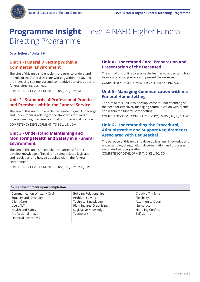

**Description of Units 1-6**

### **Unit 1 - Funeral Directing within a Commercial Environment**

The aim of this unit is to enable the learner to understand the role of the Funeral Director working within the UK and the increasing commercial and competitive demands upon a funeral directing business.

COMPETENCY DEVELOPMENT: TC, KSL, LS, J/DM, AT

### **Unit 2 - Standards of Professional Practice and Premises within the Funeral Service**

The aim of this unit is to enable the learner to gain knowledge and understanding relating to the standards required of funeral directing premises and that of professional practice.

COMPETENCY DEVELOPMENT: TC, KSL, LS, J/DM

#### **Unit 3 - Understand Maintaining and Monitoring Health and Safety in a Funeral Environment**

The aim of this unit is to enable the learner to further develop knowledge of health and safety related legislation and regulation and how this applies within the funeral environment.

COMPETENCY DEVELOPMENT: TC, KSL, LS, J/DM, PO, J/DM

#### **Unit 4 - Understand Care, Preparation and Presentation of the Deceased**

The aim of this unit is to enable the learner to understand how to safely care for, prepare and present the deceased. COMPETENCY DEVELOPMENT: TC, KSL, ER, CO, J/D, AO, C

#### **Unit 5 - Managing Communication within a Funeral Home Setting**

The aim of this unit is to develop learners' understanding of the need for effectively managing communication with clients and within the funeral home setting.

COMPETENCY DEVELOPMENT: C, TW, PO, LS, KSL, TC, PI, CO, RB

### **Unit 6 - Understanding the Procedural, Administrative and Support Requirements Associated with Bequeathal**

The purpose of this unit is to develop learners' knowledge and understanding of regulation, documentation and processes associated with bequeathal. COMPETENCY DEVELOPMENT: C, KSL, TC, CO

| Skills development upon completion                                                                                                                           |                                                                                                                                                |                                                                                                                 |  |
|--------------------------------------------------------------------------------------------------------------------------------------------------------------|------------------------------------------------------------------------------------------------------------------------------------------------|-----------------------------------------------------------------------------------------------------------------|--|
| Communication Written / Oral<br>Equality and Diversity<br>Client Care<br>Use of I.T<br>Health and Safety<br>Professional Image<br><b>Financial Awareness</b> | <b>Building Relationships</b><br>Problem Solving<br><b>Technical Knowledge</b><br>Planning and Organising<br>Legislative Knowledge<br>Teamwork | Creative Thinking<br>Flexibility<br>Attention to Detail<br>Numeracy<br><b>Handling Conflict</b><br>Self-Control |  |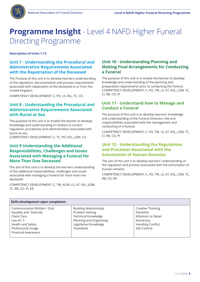

**Description of Units 7-12**

### **Unit 7 - Understanding the Procedural and Administrative Requirements Associated with the Repatriation of the Deceased**

The Purpose of this unit is to develop learners understanding of the regulation, documentation and process requirements associated with repatriation of the deceased to or from the United Kingdom.

COMPETENCY DEVELOPMENT: C, PO, LS, KSL, TC, CO

### **Unit 8 - Understanding the Procedural and Administrative Requirements Associated with Burial at Sea**

The purpose of this unit is to enable the learner to develop knowledge and understanding in relation to current regulation, procedures and administration associated with burial at sea.

COMPETENCY DEVELOPMENT: C, TC, PO, KSL, J.DM, CO

### **Unit 9 Understanding the Additional Responsibilities, Challenges and Issues Associated with Managing a Funeral for More Than One Deceased**

The aim of this unit is to develop the learners understanding of the additional responsibilities, challenges and issues associated with managing a funeral for more than one deceased.

COMPETENCY DEVELOPMENT: C, TW, AO/R, LS, AT, KSL, J/DM, TC, RB, CO, PI, ER

### **Unit 10 - Understanding Planning and Making Final Arrangements for Conducting a Funeral**

The purpose of this unit is to enable the learner to develop knowledge and understanding of the planning and preparation requirements prior to conducting the funeral. COMPETENCY DEVELOPMENT: C, PO, TW, LS, AT, KSL, J.DM, TC, CI, RB, CO, PI

### **Unit 11 - Understand how to Manage and Conduct a Funeral**

The purpose of this unit is to develop learners' knowledge and understanding of the Funeral Directors role and responsibilities associated with the management and conducting of a funeral.

COMPETENCY DEVELOPMENT: C, PO, TW, LS, AT, KSL, J.DM, TC, CI, RB, CO, PI

### **Unit 12 - Understanding the Regulations and Processes Associated with the Exhumation of Human Remains**

The aim of this unit is to develop learners' understanding of the regulation and process associated with the exhumation of human remains.

COMPETENCY DEVELOPMENT: C, PO, TW, LS, AT, KSL, J.DM, TC, RB, CO, ER

| Skills development upon completion                                                                                                                           |                                                                                                                                                |                                                                                                                 |
|--------------------------------------------------------------------------------------------------------------------------------------------------------------|------------------------------------------------------------------------------------------------------------------------------------------------|-----------------------------------------------------------------------------------------------------------------|
| Communication Written / Oral<br>Equality and Diversity<br>Client Care<br>Use of I.T<br>Health and Safety<br>Professional Image<br><b>Financial Awareness</b> | <b>Building Relationships</b><br>Problem Solving<br><b>Technical Knowledge</b><br>Planning and Organising<br>Legislative Knowledge<br>Teamwork | Creative Thinking<br>Flexibility<br>Attention to Detail<br>Numeracy<br><b>Handling Conflict</b><br>Self-Control |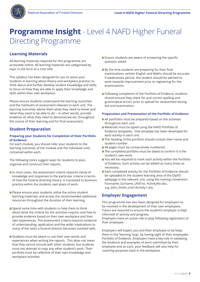

### **Learning Materials**

All learning materials required for this programme are accessible online. All learning materials are categorised by topic in the form of a 'Unit title'.

This syllabus has been designed for you to assist your students in learning about theory and workplace practice; to think about and further develop student knowledge and skills; to focus on how they are able to apply their knowledge and skills within their own workplace.

Please ensure students understand the learning outcomes and the method/s of assessment relevant to each unit. The learning outcomes advise them what they need 'to know' and 'what they need to be able to do' – in other words, provide evidence of, what they need to demonstrate etc, throughout the course of their learning and for final assessment.

### **Student Preparation**

#### **Preparing your Students for Completion of their Portfolio of Evidence**

For each module, you should refer your students to the learning outcomes of the module and the individual units contained within each.

The following notes suggest ways for students to plan, organise and construct their reports.

- $\blacksquare$  In most cases, the assessment criteria requires clarity of knowledge and responses to the particular criteria in terms of how the funeral directing theory, is translated to business practice within the students own place of work.
- Please ensure your students utilise the online student learning materials, and access the recommended additional resources throughout the duration of their learning.
- Spend some time with students to help them to think about what the criteria for the activities require, and how to provide evidence based on their own workplace and their own experiences. The assessment criteria requires evidence of understanding, application and the wider implications to many of the tasks a funeral director becomes involved with.
- Students must be aware to use their own words and experiences when writing the reports. This does not mean that they cannot consult with other students, but students must not attempt to copy any other student's work. Their portfolio must be reflective of their own knowledge and workplace activities.
- **Ensure students are aware of answering the specific** question asked.
- By the time students are preparing for their final examinations, written English and Maths should be accurate. If weaknesses persist, the student should be advised to work towards improvement prior to registering for the examinations.
- **Following completion of the Portfolio of Evidence, students** should ensure they check for and correct spelling and grammatical errors, prior to upload for assessment during the oral examination.

#### **Preparation and Presentation of the Portfolio of Evidence**

- All portfolios must be prepared based on the activities throughout each unit.
- Materials must be typed using the NAFD Portfolio of Evidence templates. One template has been developed for each activity in each unit.
- $\blacksquare$  The heading of the portfolio should contain their name and student number.
- All pages must be consecutively numbered.
- The completed portfolio must be dated to confirm it is the student's own work.
- You will be required to mark each activity within the Portfolio of Evidence. Each activity can be edited as many times as necessary.
- Each completed activity for the Portfolio of Evidence should be uploaded to the student learning area of the DipFD webpage in the relevant unit, using the naming convention: Forename\_Surname\_UNITno. ActivityNo.doc, e.g. John Smith Unit1Activity1.doc.

#### **Employer Engagement**

This programme has also been designed for employers to be involved in the development of their own employees. Tutors are required to ensure the student's employer is kept informed of activity and progress. Employers have an active role to play following registration of their employee.

Employers will expect you and their employee to be keep them in the 'learning loop', by having sight of their employees Portfolio of Evidence. Employers have a key role in validating the evidence and examples of work submitted by their employee and as such, your feedback will also help for coaching purposes back in the workplace.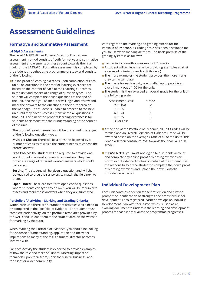

## **Assessment Guidelines**

#### **Formative and Summative Assessment**

#### **L4 DipFD Assessments**

The Level 4 NAFD Higher Funeral Directing Programme assessment method consists of both formative and summative assessment and elements of these count towards the final mark for the L4 DipFD. Formative assessment is completed by the student throughout the programme of study and consists of the following:

**Online proof of learning exercises upon completion of each** unit. The questions in the proof of learning exercises are based on the content of each of the Learning Outcomes in the unit and consist of a range of question types. The student will complete the online questions at the end of the unit, and then you as the tutor will login and review and mark the answers to the questions in their tutor area on the webpage. The student is unable to proceed to the next unit until they have successfully answered all questions in that unit. The aim of the proof of learning exercises is for students to demonstrate their understanding of the content of the unit.

 The proof of learning exercises will be presented in a range of the following question types:

 **Multiple Choice:** There will be a question followed by a number of choices of which the student needs to choose the correct answer.

 **Free Choice:** The student will be required to provide one word or multiple word answers to a question. They can provide a range of different worded answers which could be correct.

 **Sorting:** The student will be given a question and will then be required to drag their answers to match the field next to them.

 **Open Ended:** These are free-form open ended questions where students can type any answer. You will be required to assess and mark these answers when they are submitted.

#### **Portfolio of Activities - Marking and Grading Criteria**

Within each unit there are a number of activities which need to be completed in the Portfolio of Evidence. The student must complete each activity, on the portfolio templates provided by the NAFD and upload them to the student area on the website for marking by the tutor.

When marking the Portfolio of Evidence, you should be looking for evidence of understanding, application and the wider implications to many of the tasks a funeral director becomes involved with.

For each Activity the student is expected to provide examples of how the role and tasks of Funeral Directing impact on them-self, upon their team, upon the funeral business, and the client or wider community.

With regard to the marking and grading criteria for the Portfolio of Evidence, a Grading scale has been developed for you to use when marking activities. The basic premise of the grading system is as follows:

- Each activity is worth a maximum of 25 marks
- A student will achieve marks by providing examples against a series of criteria for each activity (a– d)
- $\blacksquare$  The more examples the student provides, the more marks they can accumulate.
- The marks for each activity are totalled up to provide an overall mark out of 100 for the unit.
- The student is then awarded an overall grade for the unit on the following scale:

| Assessment Scale | Grade |
|------------------|-------|
| $90 - 100$       | А     |
| $75 - 89$        | R     |
| 60 – 74          | C     |
| $40 - 59$        | D     |
| 39 or Less       | F     |

- At the end of the Portfolio of Evidence, all unit Grades will be totalled and an Overall Portfolio of Evidence Grade will be awarded based on the average Grade of all of the units. This Grade will then contribute 25% towards the final L4 DipFD grade.
- **PLEASE NOTE:** you must not log on to a students account and complete any online proof of learning exercises or Portfolio of Evidence Activties on behalf of the student. It is the responsibility of the student to complete their own proof of learning exercises and upload their own Portfolio of Evidence activities.

#### **Individual Development Plan**

Each unit contains a section for self-reflection and aims to prompt the identification of strengths and areas for further development. Each registered learner develops an Individual Development Plan with their tutor, which is used as an evolving document to underpin the learning and development process for each individual as the programme progresses.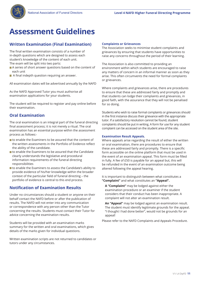

## **Assessment Guidelines**

### **Written Examination (Final Examination)**

The final written examination consists of a number of in-depth questions which are designed to assess each student's knowledge of the content of each unit. The exam will be split into two parts:

- A series of short answer questions based on the content of each unit
- A final indepth question requiring an answer.

All examination dates will be advertised annually by the NAFD

As the NAFD Approved Tutor you must authorise all examination applications for your students.

The student will be required to register and pay online before their examination.

### **Oral Examination**

The oral examination is an integral part of the funeral directing final assessment process; it is not merely a ritual. The oral examination has an essential purpose within the assessment process as follows:-

- to enable the Examiners to be assured that the content of the written assessments in the Portfolio of Evidence reflect the ability of the candidate.
- to enable the Examiners to be assured that the Candidate clearly understands the legislative and procedural information requirements of the funeral directing responsibilities
- to enable the Examiners to assess the Candidate's ability to provide evidence of his/her knowledge within the broader context of the particular field of funeral directing – the portfolio of evidence is central to this end process.

### **Notification of Examination Results**

Under no circumstances should a student or anyone on their behalf contact the NAFD before or after the publication of results. The NAFD will not enter into any communication or correspondence with any person other than the Tutor concerning the results. Students must contact their Tutor for advice concerning the examination results.

Students will be provided with an examination marks summary for the written and oral examinations, which gives details of the marks given for individual questions.

Written examination scripts are not returned to candidates or tutors under any circumstances.

#### **Complaints or Grievances**

The Association seeks to minimise student complaints and grievances by ensuring that students have opportunities to raise any concerns throughout the period of their learning.

The Association is also committed to providing an environment within which students are encouraged to raise any matters of concern in an informal manner as soon as they arise. This often circumvents the need for formal complaints or grievances.

Where complaints and grievances arise, there are procedures to ensure that these are addressed fairly and promptly and that students can lodge their complaints and grievances, in good faith, with the assurance that they will not be penalised for so doing.

Students who wish to raise formal complaints or grievances should in the first instance discuss their grievance with the appropriate tutor. If a satisfactory resolution cannot be found, student complaints should be put in writing. A form for use for any student complaint can be accessed on the student area of the site.

#### **Examination Result Appeals.**

Where appeals arise regarding the result of either the written or oral examination, there are procedures to ensure that these are addressed fairly and promptly. There is a specific form accessible on the online platform that must be used in the event of an examination appeal. This form must be filled in fully. A fee of £50 is payable for an appeal but, this will be refunded in the event of an examination outcome being altered following the appeal hearing.

It is important to distinguish between what constitutes a **"Complaint"** and what constitutes an **"Appeal".**

 **A "Complaint"** may be lodged against either the examination procedure or an examiner if the student considers that their conduct has been inappropriate. A complaint will not alter an examination result.

 **An "Appeal"** may be lodged against an examination result. The student must identify legitimate grounds for the appeal. "I thought I had done better", would not be grounds for an appeal!

Please refer to the NAFD Complaints and Appeals Procedure.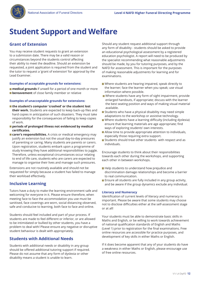

### **Grant of Extension**

You may receive student requests to grant an extension to a submission date. There may be a valid reason or circumstances beyond the students control affecting their ability to meet the deadline. Should an extension be requested, a joint application is required from the student and the tutor to request a 'grant of extension' for approval by the Lead Examiner.

#### **Examples of acceptable grounds for extensions:**

**medical grounds** if unwell for a period of one month or more **Exterior bereavement** of close family member or relative

#### **Examples of unacceptable grounds for extensions:**

- the student's computer 'crashed' or the student lost **their work.** Students are expected to keep back-up files and hard copies in anticipation of such disasters. They must take responsibility for the consequences of failing to keep copies of work.
- **periods of prolonged illness not evidenced by medical certificates.**
- **Carer's responsibilities.** A crisis or medical emergency may justify an extension but not the usual day-to-day pressures of parenting or caring. Many students are parents or carers. Upon registration, students embark upon a programme of study knowing they have additional responsibilities to juggle. Therefore, unless exceptional circumstances occur relating to end of life care, students who are carers are expected to manage to organise their lives and manage such pressures.

Extensions are not routinely available and should not be requested for simply because a student has failed to manage their workload effectively.

#### **Inclusive Learning**

Tutors have a duty to make the learning environment safe and welcoming for everyone in it. Please ensure therefore, when meeting face to face the accommodation you use must be sanitised, face coverings are worn, social distancing observed, safe and conducive to learning, both face to face and online.

Students should feel included and part of your process. If students are made to feel different or inferior, or are allowed to be intimidated or bullied by other students, you have a problem to deal with! Please ensure any negative or disruptive student behaviour is dealt with appropriately.

#### **Students with Additional Needs**

Students with additional needs or disability in any group should be offered additional tutoring support if required. Please do not assume that any form of dyslexia or other disability means a student is unable to learn.

Should any student request additional support through any form of disability - students should be asked to provide an educational psychological assessment by a registered education psychologist. A report will need to be produced by the specialist recommending what reasonable adjustments should be made, by you for tutoring purposes, and by the NAFD for assessment. This is important for the purposes of making reasonable adjustments for learning and for examinations.

- Where students are hearing impaired, speak directly to the learner; face the learner when you speak; use visual information where possible.
- Where students have any form of sight impairment, provide enlarged handouts, if appropriate; discuss with the learner the best seating position and ways of making visual material available.
- **Students who have a physical disability may need simple** adaptations to the workshop or assistive technology.
- Where students have a learning difficulty (including dyslexia) ensure that learning materials are age appropriate; find ways of exploring students' own interests.
- **Allow time to provide appropriate attention to individuals,** especially those requiring extra support.
- Students should treat other students with respect and as individuals.

Encourage students to think about their responsibilities towards each other during the workshops, and supporting each other in between workshops.

- Help students to understand how prejudice and discrimination damage relationships and become a barrier to real communication.
- **Ensure all students are fully included in any group activity,** and be aware if the group dynamics exclude any individual.

#### **Literacy and Numeracy**

Identification of current levels of literacy and numeracy is important. Please be aware that some students may choose not to disclose difficulties either at the self-assessment stage or at all!

Your students must be able to demonstrate basic skills in Maths and English, or be willing to work towards achievement of national qualification standards of English and Maths (Level 1) prior to registration for the final examinations. Free online resources are accessible for practice purposes, and development of key skills in either Maths or English.

If it does become apparent that any of your students do have a weakness in either Maths or English, please encourage use of free online resources.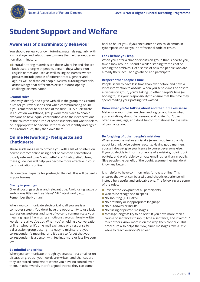

#### **Awareness of Discriminatory Behaviour**

You should review your own tutoring materials regularly, with a critical eye, and adapt them to make them either neutral or non-discriminatory.

■ Neutral tutoring materials are those where he and she are both used, along with people, person, they; where non-English names are used as well as English names; where pictures include people of different races, gender and age, as well as disabled people. Neutral tutoring materials acknowledge that differences exist but don't openly challenge discrimination.

#### **Ground-rules**

Positively identify and agree with all in the group the Ground rules for your workshops and when communicating online. If you remember back to one of the first CTLLS / Certificate in Education workshops, group work took place to enable everyone to have equal contribution as to their expectations of the course; of the tutor; of other students and what is felt to be inappropriate behaviour. If the students identify and agree the Ground rules, they then own them!

#### **Online Networking - Netiquette and Chatiquette**

These guidelines aim to provide you with a list of pointers on how to interact online using a set of common conventions usually referred to as "netiquette" and "chatiquette". Using these guidelines will help you become more effective in your communications online.

Netiquette – Etiquette for posting to the net. This will be useful in your forums

#### **Clarity in postings**

Give all postings a clear and relevant title. Avoid using vague or ambiguous titles such as 'News', 'Hi' 'Latest work', etc. Remember the Human!

When you communicate electronically, all you see is a computer screen. You don't have the opportunity to use facial expression, gestures and tone of voice to communicate your meaning (apart from using emoticons); words - lonely written words - are all you've got. When you're holding a conversation online - whether it's an e-mail exchange or a response to a discussion group posting - it's easy to misinterpret your correspondent's meaning, and it's easy to forget that your correspondent is a person with feelings more or less like your own.

#### **Be mindful and ethical**

When you communicate through cyberspace - via email or on discussion groups - your words are written and chances are they are stored somewhere where you have no control over them. In other words, there's a good chance they can come

back to haunt you. If you encounter an ethical dilemma in cyberspace, consult your professional code of ethics.

#### **Look before you leap**

When you enter a chat or discussion group that is new to you, take a look around. Spend a while 'listening to' the chat or reading the archives. Get a sense of how the people who are already there act. Then go ahead and participate.

#### **Respect other people's time**

People seem to have less time than ever before and have a lot of information to absorb. When you send e-mail or post to a discussion group, you're taking up other people's time (or hoping to). It's your responsibility to ensure that the time they spend reading your posting isn't wasted.

#### **Know what you're talking about and that it makes sense**

Make sure your notes are clear and logical and know what you are talking about. Be pleasant and polite. Don't use offensive language, and don't be confrontational for the sake of confrontation.

#### **Be forgiving of other people's mistakes**

When someone makes a mistake (even if you feel strongly about it) think twice before reacting. Having good manners yourself doesn't give you licence to correct everyone else. If you do decide to inform someone of a mistake, point it out politely, and preferable by private email rather than in public. Give people the benefit of the doubt; assume they just don't know any better.

It is helpful to have common rules for chats online. This ensures that what can be a wild and chaotic experience will instead be a useful and enjoyable one. The following are some of the rules:

- $\blacksquare$  Respect the viewpoint of all participants
- Wait to be recognised to speak
- No shouting (ALL CAPS)
- No profanity or inappropriate language
- No putdowns or insults
- No flirting or private messages
- Message lengths: Try to be brief. If you have more than a couple of sentences to input, type a sentence, end it with "..." to let others know more is on the way, then continue. This procedure also helps the flow, since messages take a little while to reach everyone's screen.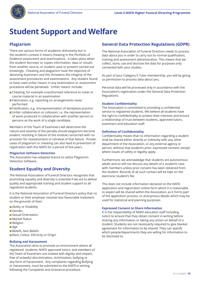

### **Plagiarism**

There are various forms of academic dishonesty but in the student's context it means cheating in the Portfolio of Evidence assessment and examinations. It takes place when the student 'borrows' or copies information, data or results from another source, or student, past or present carried out knowingly. Cheating and plagiarism have the objective of deceiving examiners and this threatens the integrity of the assessment procedures and examinations. Any student found to have used unfair means in any examination or assessment procedure will be penalised. 'Unfair means' include:

- Cheating, for example unauthorised reference to notes or course material in an examination
- Fabrication, e.g. reporting on arrangements never performed
- **Falsification, e.g. misrepresentation of workplace practice**
- **Unfair collaboration or collusion; i.e. the representation** of work produced in collaboration with another person or persons as the work of a single candidate.

Members of the Team of Examiners will determine the nature and severity of the penalty should plagiarism become evident, resulting in failure of the module concerned with no provision for reassessment or retrieval of that failure. Proven cases of plagiarism or cheating can also lead to prevention of registration with the NAFD for a period of five years.

#### **Plagiarism Software Detection**

The Association has adopted licence to utilise Plagiarism Detection Software.

### **Student Equality and Diversity**

The National Association of Funeral Directors recognises that promoting equality and diversity is essential if we are to deliver quality and appropriate training and student support to all registered students.

It is the National Association of Funeral Directors policy that no student or their employer receives less favourable treatment on the grounds of their;

- **Ability or Disability**
- Gender.
- **Sexual Orientation**
- **Marital Status**
- **Religion**
- Age
- **Beliefs, Non Beliefs**
- Race, Colour, Ethnicity or Origin

#### **Bullying and Harassment**

The Association aims to promote an environment where all registered students; NAFD approved tutors; and members of the Team of Examiners are treated with dignity and respect, free of unlawful discrimination, victimisation, bullying or any form of harassment. Any complaints regarding Bullying or Harassment, must be submitted to the NAFD in writing following the Complaints and Grievance procedure.

### **General Data Protection Regulations (GDPR)**

The National Association of Funeral Directors needs to process data about you in order to carry out its normal qualification, training and assessment administration. This means that we collect, store, use and disclose the data for purposes only connected with your studies.

As part of your Category E Tutor membership, you will be giving us permission to process data about you.

Personal data will be processed only in accordance with the Association's registration under the General Data Protection Regulations.

#### **Student Confidentiality**

The Association is committed to providing a confidential service to registered students. We believe all students have the right to confidentiality to protect their interests and ensure a relationship of trust between students, approved tutors, examiners and education staff.

#### **Definition of Confidentiality**

Confidentiality means that no information regarding a student shall be shared either directly or indirectly with any other department of the Association, or any external agency or person, without that student's prior, expressed consent; except where issues of safety or legality apply.

Furthermore, we acknowledge that students are autonomous adults and so will not discuss any details of a student's case with members unless prior consent has been obtained from the student. Records of all such contact will be kept on the electronic student's file.

This does not include information declared on the NAFD application and registration online form which it is reasonable to expect will be shared within the Association, as it forms part of the application process, or anonymous details which may be used for statistical and planning purposes.

#### **Expressed Consent to Share Information**

It is the responsibility of NAFD education staff including tutors to ensure that they obtain consent in writing before sharing any information or taking any action on behalf of a student. Students are not necessarily required to give blanket agreement for information to be shared. They can specify which people/departments they are willing for information to be disclosed to.